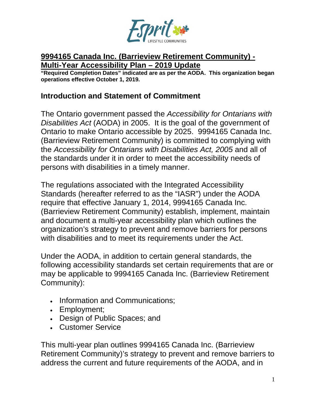

#### **9994165 Canada Inc. (Barrieview Retirement Community) - Multi-Year Accessibility Plan – 2019 Update**

**"Required Completion Dates" indicated are as per the AODA. This organization began operations effective October 1, 2019.**

#### **Introduction and Statement of Commitment**

The Ontario government passed the *Accessibility for Ontarians with Disabilities Act* (AODA) in 2005. It is the goal of the government of Ontario to make Ontario accessible by 2025. 9994165 Canada Inc. (Barrieview Retirement Community) is committed to complying with the *Accessibility for Ontarians with Disabilities Act, 2005* and all of the standards under it in order to meet the accessibility needs of persons with disabilities in a timely manner.

The regulations associated with the Integrated Accessibility Standards (hereafter referred to as the "IASR") under the AODA require that effective January 1, 2014, 9994165 Canada Inc. (Barrieview Retirement Community) establish, implement, maintain and document a multi-year accessibility plan which outlines the organization's strategy to prevent and remove barriers for persons with disabilities and to meet its requirements under the Act.

Under the AODA, in addition to certain general standards, the following accessibility standards set certain requirements that are or may be applicable to 9994165 Canada Inc. (Barrieview Retirement Community):

- Information and Communications;
- Employment;
- Design of Public Spaces; and
- Customer Service

This multi-year plan outlines 9994165 Canada Inc. (Barrieview Retirement Community)'s strategy to prevent and remove barriers to address the current and future requirements of the AODA, and in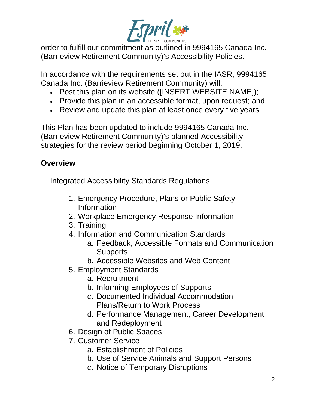

order to fulfill our commitment as outlined in 9994165 Canada Inc. (Barrieview Retirement Community)'s Accessibility Policies.

In accordance with the requirements set out in the IASR, 9994165 Canada Inc. (Barrieview Retirement Community) will:

- Post this plan on its website ([INSERT WEBSITE NAME]);
- Provide this plan in an accessible format, upon request; and
- Review and update this plan at least once every five years

This Plan has been updated to include 9994165 Canada Inc. (Barrieview Retirement Community)'s planned Accessibility strategies for the review period beginning October 1, 2019.

# **Overview**

Integrated Accessibility Standards Regulations

- 1. Emergency Procedure, Plans or Public Safety Information
- 2. Workplace Emergency Response Information
- 3. Training
- 4. Information and Communication Standards
	- a. Feedback, Accessible Formats and Communication **Supports**
	- b. Accessible Websites and Web Content
- 5. Employment Standards
	- a. Recruitment
	- b. Informing Employees of Supports
	- c. Documented Individual Accommodation Plans/Return to Work Process
	- d. Performance Management, Career Development and Redeployment
- 6. Design of Public Spaces
- 7. Customer Service
	- a. Establishment of Policies
	- b. Use of Service Animals and Support Persons
	- c. Notice of Temporary Disruptions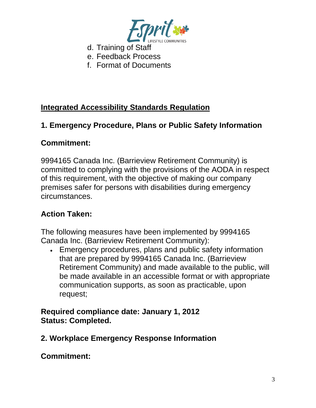

- d. Training of Staff
- e. Feedback Process
- f. Format of Documents

# **Integrated Accessibility Standards Regulation**

# **1. Emergency Procedure, Plans or Public Safety Information**

# **Commitment:**

9994165 Canada Inc. (Barrieview Retirement Community) is committed to complying with the provisions of the AODA in respect of this requirement, with the objective of making our company premises safer for persons with disabilities during emergency circumstances.

# **Action Taken:**

The following measures have been implemented by 9994165 Canada Inc. (Barrieview Retirement Community):

• Emergency procedures, plans and public safety information that are prepared by 9994165 Canada Inc. (Barrieview Retirement Community) and made available to the public, will be made available in an accessible format or with appropriate communication supports, as soon as practicable, upon request;

### **Required compliance date: January 1, 2012 Status: Completed.**

**2. Workplace Emergency Response Information**

**Commitment:**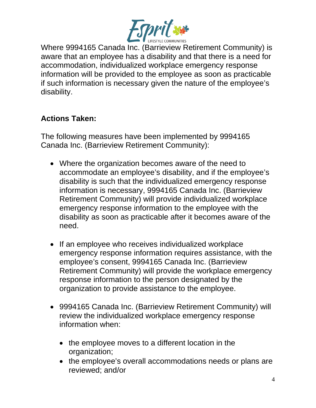

Where 9994165 Canada Inc. (Barrieview Retirement Community) is aware that an employee has a disability and that there is a need for accommodation, individualized workplace emergency response information will be provided to the employee as soon as practicable if such information is necessary given the nature of the employee's disability.

# **Actions Taken:**

The following measures have been implemented by 9994165 Canada Inc. (Barrieview Retirement Community):

- Where the organization becomes aware of the need to accommodate an employee's disability, and if the employee's disability is such that the individualized emergency response information is necessary, 9994165 Canada Inc. (Barrieview Retirement Community) will provide individualized workplace emergency response information to the employee with the disability as soon as practicable after it becomes aware of the need.
- If an employee who receives individualized workplace emergency response information requires assistance, with the employee's consent, 9994165 Canada Inc. (Barrieview Retirement Community) will provide the workplace emergency response information to the person designated by the organization to provide assistance to the employee.
- 9994165 Canada Inc. (Barrieview Retirement Community) will review the individualized workplace emergency response information when:
	- the employee moves to a different location in the organization;
	- the employee's overall accommodations needs or plans are reviewed; and/or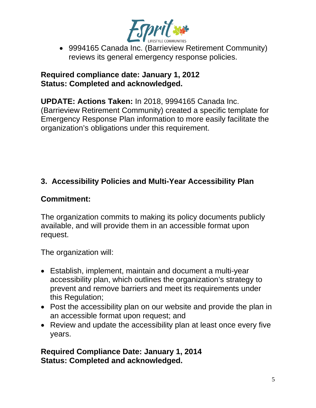

• 9994165 Canada Inc. (Barrieview Retirement Community) reviews its general emergency response policies.

#### **Required compliance date: January 1, 2012 Status: Completed and acknowledged.**

**UPDATE: Actions Taken:** In 2018, 9994165 Canada Inc. (Barrieview Retirement Community) created a specific template for Emergency Response Plan information to more easily facilitate the organization's obligations under this requirement.

# **3. Accessibility Policies and Multi-Year Accessibility Plan**

## **Commitment:**

The organization commits to making its policy documents publicly available, and will provide them in an accessible format upon request.

The organization will:

- Establish, implement, maintain and document a multi-year accessibility plan, which outlines the organization's strategy to prevent and remove barriers and meet its requirements under this Regulation;
- Post the accessibility plan on our website and provide the plan in an accessible format upon request; and
- Review and update the accessibility plan at least once every five years.

**Required Compliance Date: January 1, 2014 Status: Completed and acknowledged.**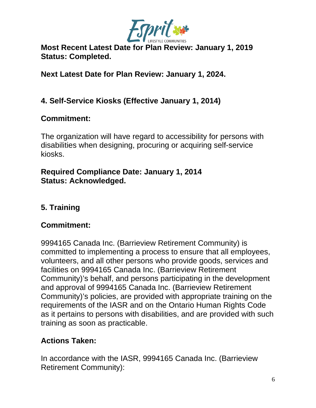

**Most Recent Latest Date for Plan Review: January 1, 2019 Status: Completed.**

**Next Latest Date for Plan Review: January 1, 2024.**

## **4. Self-Service Kiosks (Effective January 1, 2014)**

## **Commitment:**

The organization will have regard to accessibility for persons with disabilities when designing, procuring or acquiring self-service kiosks.

#### **Required Compliance Date: January 1, 2014 Status: Acknowledged.**

# **5. Training**

### **Commitment:**

9994165 Canada Inc. (Barrieview Retirement Community) is committed to implementing a process to ensure that all employees, volunteers, and all other persons who provide goods, services and facilities on 9994165 Canada Inc. (Barrieview Retirement Community)'s behalf, and persons participating in the development and approval of 9994165 Canada Inc. (Barrieview Retirement Community)'s policies, are provided with appropriate training on the requirements of the IASR and on the Ontario Human Rights Code as it pertains to persons with disabilities, and are provided with such training as soon as practicable.

### **Actions Taken:**

In accordance with the IASR, 9994165 Canada Inc. (Barrieview Retirement Community):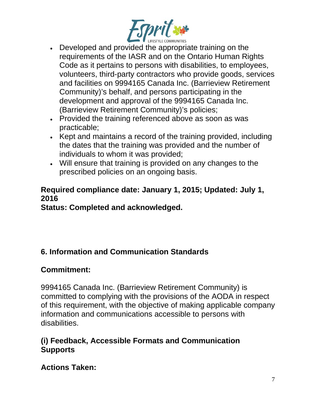

- Developed and provided the appropriate training on the requirements of the IASR and on the Ontario Human Rights Code as it pertains to persons with disabilities, to employees, volunteers, third-party contractors who provide goods, services and facilities on 9994165 Canada Inc. (Barrieview Retirement Community)'s behalf, and persons participating in the development and approval of the 9994165 Canada Inc. (Barrieview Retirement Community)'s policies;
- Provided the training referenced above as soon as was practicable;
- Kept and maintains a record of the training provided, including the dates that the training was provided and the number of individuals to whom it was provided;
- Will ensure that training is provided on any changes to the prescribed policies on an ongoing basis.

# **Required compliance date: January 1, 2015; Updated: July 1, 2016**

**Status: Completed and acknowledged.**

# **6. Information and Communication Standards**

# **Commitment:**

9994165 Canada Inc. (Barrieview Retirement Community) is committed to complying with the provisions of the AODA in respect of this requirement, with the objective of making applicable company information and communications accessible to persons with disabilities.

## **(i) Feedback, Accessible Formats and Communication Supports**

**Actions Taken:**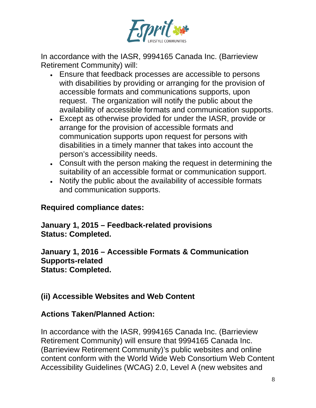

In accordance with the IASR, 9994165 Canada Inc. (Barrieview Retirement Community) will:

- Ensure that feedback processes are accessible to persons with disabilities by providing or arranging for the provision of accessible formats and communications supports, upon request. The organization will notify the public about the availability of accessible formats and communication supports.
- Except as otherwise provided for under the IASR, provide or arrange for the provision of accessible formats and communication supports upon request for persons with disabilities in a timely manner that takes into account the person's accessibility needs.
- Consult with the person making the request in determining the suitability of an accessible format or communication support.
- Notify the public about the availability of accessible formats and communication supports.

#### **Required compliance dates:**

#### **January 1, 2015 – Feedback-related provisions Status: Completed.**

**January 1, 2016 – Accessible Formats & Communication Supports-related Status: Completed.**

### **(ii) Accessible Websites and Web Content**

### **Actions Taken/Planned Action:**

In accordance with the IASR, 9994165 Canada Inc. (Barrieview Retirement Community) will ensure that 9994165 Canada Inc. (Barrieview Retirement Community)'s public websites and online content conform with the World Wide Web Consortium Web Content Accessibility Guidelines (WCAG) 2.0, Level A (new websites and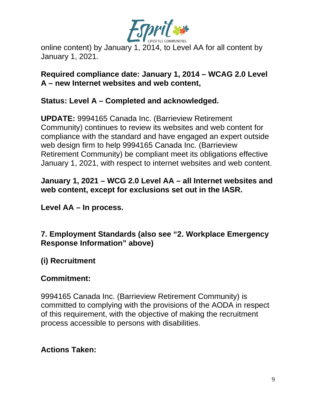

online content) by January 1, 2014, to Level AA for all content by January 1, 2021.

**Required compliance date: January 1, 2014 – WCAG 2.0 Level A – new Internet websites and web content,** 

#### **Status: Level A – Completed and acknowledged.**

**UPDATE:** 9994165 Canada Inc. (Barrieview Retirement Community) continues to review its websites and web content for compliance with the standard and have engaged an expert outside web design firm to help 9994165 Canada Inc. (Barrieview Retirement Community) be compliant meet its obligations effective January 1, 2021, with respect to internet websites and web content.

### **January 1, 2021 – WCG 2.0 Level AA – all Internet websites and web content, except for exclusions set out in the IASR.**

**Level AA – In process.**

## **7. Employment Standards (also see "2. Workplace Emergency Response Information" above)**

# **(i) Recruitment**

### **Commitment:**

9994165 Canada Inc. (Barrieview Retirement Community) is committed to complying with the provisions of the AODA in respect of this requirement, with the objective of making the recruitment process accessible to persons with disabilities.

### **Actions Taken:**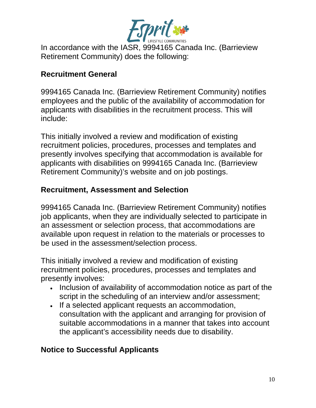

In accordance with the IASR, 9994165 Canada Inc. (Barrieview Retirement Community) does the following:

#### **Recruitment General**

9994165 Canada Inc. (Barrieview Retirement Community) notifies employees and the public of the availability of accommodation for applicants with disabilities in the recruitment process. This will include:

This initially involved a review and modification of existing recruitment policies, procedures, processes and templates and presently involves specifying that accommodation is available for applicants with disabilities on 9994165 Canada Inc. (Barrieview Retirement Community)'s website and on job postings.

# **Recruitment, Assessment and Selection**

9994165 Canada Inc. (Barrieview Retirement Community) notifies job applicants, when they are individually selected to participate in an assessment or selection process, that accommodations are available upon request in relation to the materials or processes to be used in the assessment/selection process.

This initially involved a review and modification of existing recruitment policies, procedures, processes and templates and presently involves:

- Inclusion of availability of accommodation notice as part of the script in the scheduling of an interview and/or assessment;
- If a selected applicant requests an accommodation, consultation with the applicant and arranging for provision of suitable accommodations in a manner that takes into account the applicant's accessibility needs due to disability.

### **Notice to Successful Applicants**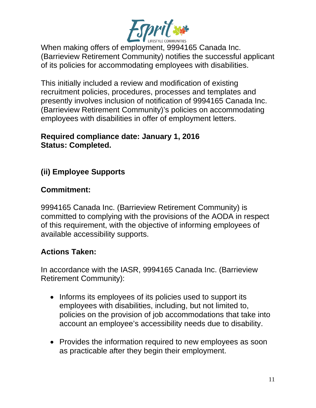

When making offers of employment, 9994165 Canada Inc. (Barrieview Retirement Community) notifies the successful applicant of its policies for accommodating employees with disabilities.

This initially included a review and modification of existing recruitment policies, procedures, processes and templates and presently involves inclusion of notification of 9994165 Canada Inc. (Barrieview Retirement Community)'s policies on accommodating employees with disabilities in offer of employment letters.

#### **Required compliance date: January 1, 2016 Status: Completed.**

# **(ii) Employee Supports**

# **Commitment:**

9994165 Canada Inc. (Barrieview Retirement Community) is committed to complying with the provisions of the AODA in respect of this requirement, with the objective of informing employees of available accessibility supports.

# **Actions Taken:**

In accordance with the IASR, 9994165 Canada Inc. (Barrieview Retirement Community):

- Informs its employees of its policies used to support its employees with disabilities, including, but not limited to, policies on the provision of job accommodations that take into account an employee's accessibility needs due to disability.
- Provides the information required to new employees as soon as practicable after they begin their employment.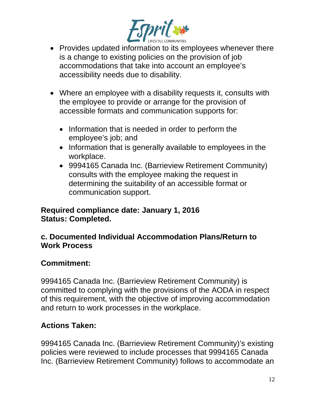

- Provides updated information to its employees whenever there is a change to existing policies on the provision of job accommodations that take into account an employee's accessibility needs due to disability.
- Where an employee with a disability requests it, consults with the employee to provide or arrange for the provision of accessible formats and communication supports for:
	- Information that is needed in order to perform the employee's job; and
	- Information that is generally available to employees in the workplace.
	- 9994165 Canada Inc. (Barrieview Retirement Community) consults with the employee making the request in determining the suitability of an accessible format or communication support.

### **Required compliance date: January 1, 2016 Status: Completed.**

## **c. Documented Individual Accommodation Plans/Return to Work Process**

# **Commitment:**

9994165 Canada Inc. (Barrieview Retirement Community) is committed to complying with the provisions of the AODA in respect of this requirement, with the objective of improving accommodation and return to work processes in the workplace.

# **Actions Taken:**

9994165 Canada Inc. (Barrieview Retirement Community)'s existing policies were reviewed to include processes that 9994165 Canada Inc. (Barrieview Retirement Community) follows to accommodate an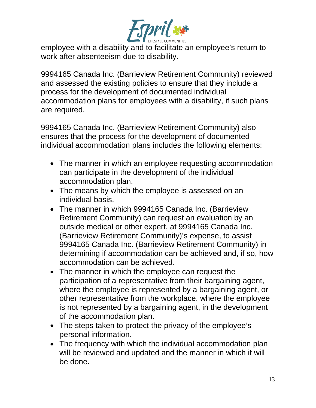

employee with a disability and to facilitate an employee's return to work after absenteeism due to disability.

9994165 Canada Inc. (Barrieview Retirement Community) reviewed and assessed the existing policies to ensure that they include a process for the development of documented individual accommodation plans for employees with a disability, if such plans are required.

9994165 Canada Inc. (Barrieview Retirement Community) also ensures that the process for the development of documented individual accommodation plans includes the following elements:

- The manner in which an employee requesting accommodation can participate in the development of the individual accommodation plan.
- The means by which the employee is assessed on an individual basis.
- The manner in which 9994165 Canada Inc. (Barrieview Retirement Community) can request an evaluation by an outside medical or other expert, at 9994165 Canada Inc. (Barrieview Retirement Community)'s expense, to assist 9994165 Canada Inc. (Barrieview Retirement Community) in determining if accommodation can be achieved and, if so, how accommodation can be achieved.
- The manner in which the employee can request the participation of a representative from their bargaining agent, where the employee is represented by a bargaining agent, or other representative from the workplace, where the employee is not represented by a bargaining agent, in the development of the accommodation plan.
- The steps taken to protect the privacy of the employee's personal information.
- The frequency with which the individual accommodation plan will be reviewed and updated and the manner in which it will be done.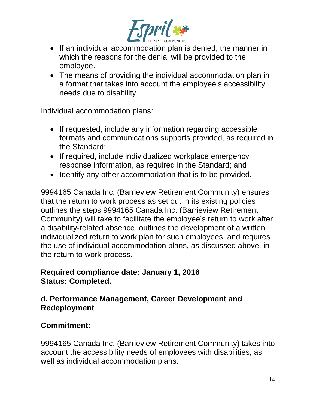

- If an individual accommodation plan is denied, the manner in which the reasons for the denial will be provided to the employee.
- The means of providing the individual accommodation plan in a format that takes into account the employee's accessibility needs due to disability.

Individual accommodation plans:

- If requested, include any information regarding accessible formats and communications supports provided, as required in the Standard;
- If required, include individualized workplace emergency response information, as required in the Standard; and
- Identify any other accommodation that is to be provided.

9994165 Canada Inc. (Barrieview Retirement Community) ensures that the return to work process as set out in its existing policies outlines the steps 9994165 Canada Inc. (Barrieview Retirement Community) will take to facilitate the employee's return to work after a disability-related absence, outlines the development of a written individualized return to work plan for such employees, and requires the use of individual accommodation plans, as discussed above, in the return to work process.

### **Required compliance date: January 1, 2016 Status: Completed.**

## **d. Performance Management, Career Development and Redeployment**

# **Commitment:**

9994165 Canada Inc. (Barrieview Retirement Community) takes into account the accessibility needs of employees with disabilities, as well as individual accommodation plans: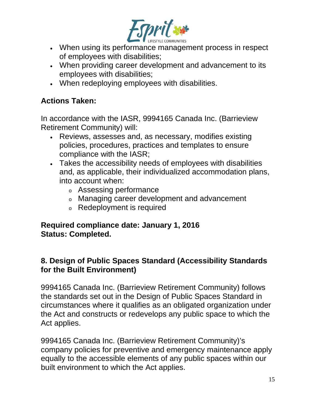

- When using its performance management process in respect of employees with disabilities;
- When providing career development and advancement to its employees with disabilities;
- When redeploying employees with disabilities.

# **Actions Taken:**

In accordance with the IASR, 9994165 Canada Inc. (Barrieview Retirement Community) will:

- Reviews, assesses and, as necessary, modifies existing policies, procedures, practices and templates to ensure compliance with the IASR;
- Takes the accessibility needs of employees with disabilities and, as applicable, their individualized accommodation plans, into account when:
	- <sup>o</sup> Assessing performance
	- <sup>o</sup> Managing career development and advancement
	- <sup>o</sup> Redeployment is required

### **Required compliance date: January 1, 2016 Status: Completed.**

## **8. Design of Public Spaces Standard (Accessibility Standards for the Built Environment)**

9994165 Canada Inc. (Barrieview Retirement Community) follows the standards set out in the Design of Public Spaces Standard in circumstances where it qualifies as an obligated organization under the Act and constructs or redevelops any public space to which the Act applies.

9994165 Canada Inc. (Barrieview Retirement Community)'s company policies for preventive and emergency maintenance apply equally to the accessible elements of any public spaces within our built environment to which the Act applies.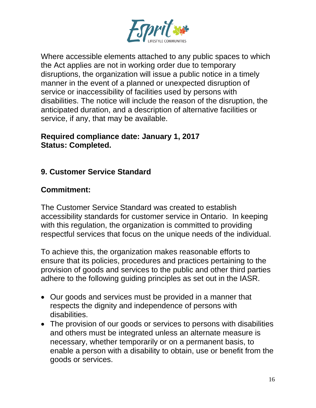

Where accessible elements attached to any public spaces to which the Act applies are not in working order due to temporary disruptions, the organization will issue a public notice in a timely manner in the event of a planned or unexpected disruption of service or inaccessibility of facilities used by persons with disabilities. The notice will include the reason of the disruption, the anticipated duration, and a description of alternative facilities or service, if any, that may be available.

#### **Required compliance date: January 1, 2017 Status: Completed.**

# **9. Customer Service Standard**

## **Commitment:**

The Customer Service Standard was created to establish accessibility standards for customer service in Ontario. In keeping with this regulation, the organization is committed to providing respectful services that focus on the unique needs of the individual.

To achieve this, the organization makes reasonable efforts to ensure that its policies, procedures and practices pertaining to the provision of goods and services to the public and other third parties adhere to the following guiding principles as set out in the IASR.

- Our goods and services must be provided in a manner that respects the dignity and independence of persons with disabilities.
- The provision of our goods or services to persons with disabilities and others must be integrated unless an alternate measure is necessary, whether temporarily or on a permanent basis, to enable a person with a disability to obtain, use or benefit from the goods or services.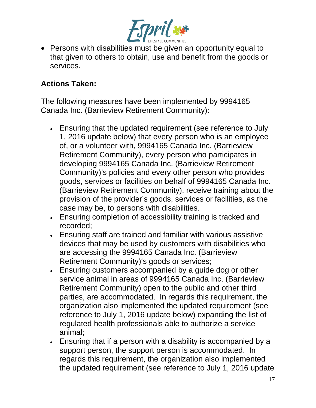

• Persons with disabilities must be given an opportunity equal to that given to others to obtain, use and benefit from the goods or services.

## **Actions Taken:**

The following measures have been implemented by 9994165 Canada Inc. (Barrieview Retirement Community):

- Ensuring that the updated requirement (see reference to July 1, 2016 update below) that every person who is an employee of, or a volunteer with, 9994165 Canada Inc. (Barrieview Retirement Community), every person who participates in developing 9994165 Canada Inc. (Barrieview Retirement Community)'s policies and every other person who provides goods, services or facilities on behalf of 9994165 Canada Inc. (Barrieview Retirement Community), receive training about the provision of the provider's goods, services or facilities, as the case may be, to persons with disabilities.
- Ensuring completion of accessibility training is tracked and recorded;
- Ensuring staff are trained and familiar with various assistive devices that may be used by customers with disabilities who are accessing the 9994165 Canada Inc. (Barrieview Retirement Community)'s goods or services;
- Ensuring customers accompanied by a guide dog or other service animal in areas of 9994165 Canada Inc. (Barrieview Retirement Community) open to the public and other third parties, are accommodated. In regards this requirement, the organization also implemented the updated requirement (see reference to July 1, 2016 update below) expanding the list of regulated health professionals able to authorize a service animal;
- Ensuring that if a person with a disability is accompanied by a support person, the support person is accommodated. In regards this requirement, the organization also implemented the updated requirement (see reference to July 1, 2016 update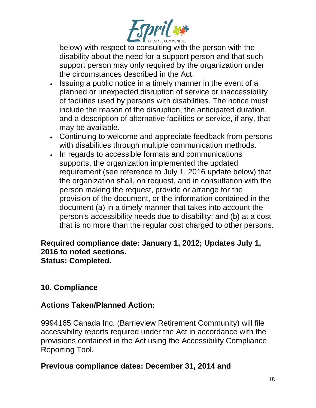

below) with respect to consulting with the person with the disability about the need for a support person and that such support person may only required by the organization under the circumstances described in the Act.

- Issuing a public notice in a timely manner in the event of a planned or unexpected disruption of service or inaccessibility of facilities used by persons with disabilities. The notice must include the reason of the disruption, the anticipated duration, and a description of alternative facilities or service, if any, that may be available.
- Continuing to welcome and appreciate feedback from persons with disabilities through multiple communication methods.
- In regards to accessible formats and communications supports, the organization implemented the updated requirement (see reference to July 1, 2016 update below) that the organization shall, on request, and in consultation with the person making the request, provide or arrange for the provision of the document, or the information contained in the document (a) in a timely manner that takes into account the person's accessibility needs due to disability; and (b) at a cost that is no more than the regular cost charged to other persons.

#### **Required compliance date: January 1, 2012; Updates July 1, 2016 to noted sections. Status: Completed.**

# **10. Compliance**

### **Actions Taken/Planned Action:**

9994165 Canada Inc. (Barrieview Retirement Community) will file accessibility reports required under the Act in accordance with the provisions contained in the Act using the Accessibility Compliance Reporting Tool.

### **Previous compliance dates: December 31, 2014 and**